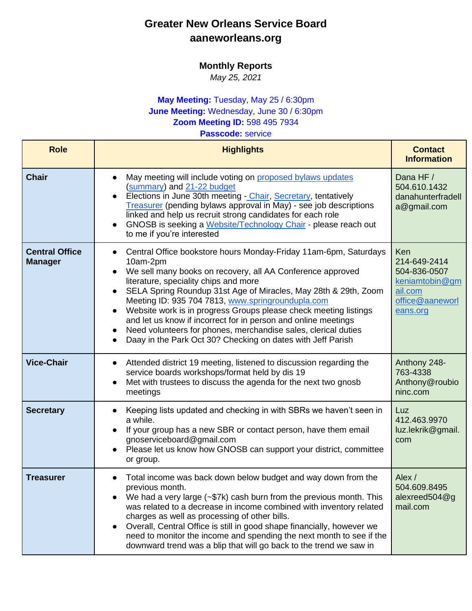## **Greater New Orleans Service Board aaneworleans.org**

## **Monthly Reports**

*May 25, 2021*

## **May Meeting:** Tuesday, May 25 / 6:30pm **June Meeting:** Wednesday, June 30 / 6:30pm **Zoom Meeting ID:** 598 495 7934

**Passcode:** service

| <b>Role</b>                             | <b>Highlights</b>                                                                                                                                                                                                                                                                                                                                                                                                                                                                                                                                                                                                                                   | <b>Contact</b><br><b>Information</b>                                                            |
|-----------------------------------------|-----------------------------------------------------------------------------------------------------------------------------------------------------------------------------------------------------------------------------------------------------------------------------------------------------------------------------------------------------------------------------------------------------------------------------------------------------------------------------------------------------------------------------------------------------------------------------------------------------------------------------------------------------|-------------------------------------------------------------------------------------------------|
| <b>Chair</b>                            | May meeting will include voting on proposed bylaws updates<br>$\bullet$<br>(summary) and 21-22 budget<br>Elections in June 30th meeting - Chair, Secretary, tentatively<br>Treasurer (pending bylaws approval in May) - see job descriptions<br>linked and help us recruit strong candidates for each role<br>GNOSB is seeking a Website/Technology Chair - please reach out<br>$\bullet$<br>to me if you're interested                                                                                                                                                                                                                             | Dana HF /<br>504.610.1432<br>danahunterfradell<br>a@gmail.com                                   |
| <b>Central Office</b><br><b>Manager</b> | Central Office bookstore hours Monday-Friday 11am-6pm, Saturdays<br>$\bullet$<br>10am-2pm<br>We sell many books on recovery, all AA Conference approved<br>$\bullet$<br>literature, speciality chips and more<br>SELA Spring Roundup 31st Age of Miracles, May 28th & 29th, Zoom<br>$\bullet$<br>Meeting ID: 935 704 7813, www.springroundupla.com<br>Website work is in progress Groups please check meeting listings<br>$\bullet$<br>and let us know if incorrect for in person and online meetings<br>Need volunteers for phones, merchandise sales, clerical duties<br>$\bullet$<br>Daay in the Park Oct 30? Checking on dates with Jeff Parish | Ken<br>214-649-2414<br>504-836-0507<br>keniamtobin@gm<br>ail.com<br>office@aaneworl<br>eans.org |
| <b>Vice-Chair</b>                       | Attended district 19 meeting, listened to discussion regarding the<br>$\bullet$<br>service boards workshops/format held by dis 19<br>Met with trustees to discuss the agenda for the next two gnosb<br>$\bullet$<br>meetings                                                                                                                                                                                                                                                                                                                                                                                                                        | Anthony 248-<br>763-4338<br>Anthony@roubio<br>ninc.com                                          |
| <b>Secretary</b>                        | Keeping lists updated and checking in with SBRs we haven't seen in<br>$\bullet$<br>a while.<br>If your group has a new SBR or contact person, have them email<br>$\bullet$<br>gnoserviceboard@gmail.com<br>Please let us know how GNOSB can support your district, committee<br>or group.                                                                                                                                                                                                                                                                                                                                                           | Luz<br>412.463.9970<br>luz.lekrik@gmail.<br>com                                                 |
| <b>Treasurer</b>                        | Total income was back down below budget and way down from the<br>previous month.<br>We had a very large $(-\$7k)$ cash burn from the previous month. This<br>was related to a decrease in income combined with inventory related<br>charges as well as processing of other bills.<br>Overall, Central Office is still in good shape financially, however we<br>$\bullet$<br>need to monitor the income and spending the next month to see if the<br>downward trend was a blip that will go back to the trend we saw in                                                                                                                              | Alex /<br>504.609.8495<br>alexreed $504@q$<br>mail.com                                          |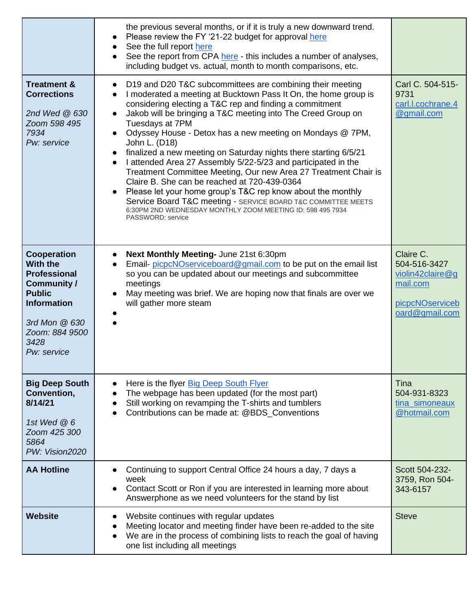|                                                                                                                                                                              | the previous several months, or if it is truly a new downward trend.<br>Please review the FY '21-22 budget for approval here<br>$\bullet$<br>See the full report here<br>See the report from CPA here - this includes a number of analyses,<br>$\bullet$<br>including budget vs. actual, month to month comparisons, etc.                                                                                                                                                                                                                                                                                                                                                                                                                                                                                                                                                                                   |                                                                                                |
|------------------------------------------------------------------------------------------------------------------------------------------------------------------------------|-------------------------------------------------------------------------------------------------------------------------------------------------------------------------------------------------------------------------------------------------------------------------------------------------------------------------------------------------------------------------------------------------------------------------------------------------------------------------------------------------------------------------------------------------------------------------------------------------------------------------------------------------------------------------------------------------------------------------------------------------------------------------------------------------------------------------------------------------------------------------------------------------------------|------------------------------------------------------------------------------------------------|
| <b>Treatment &amp;</b><br><b>Corrections</b><br>2nd Wed @ 630<br>Zoom 598 495<br>7934<br>Pw: service                                                                         | D19 and D20 T&C subcommittees are combining their meeting<br>$\bullet$<br>I moderated a meeting at Bucktown Pass It On, the home group is<br>$\bullet$<br>considering electing a T&C rep and finding a commitment<br>Jakob will be bringing a T&C meeting into The Creed Group on<br>Tuesdays at 7PM<br>Odyssey House - Detox has a new meeting on Mondays @ 7PM,<br>$\bullet$<br>John L. (D18)<br>finalized a new meeting on Saturday nights there starting 6/5/21<br>$\bullet$<br>I attended Area 27 Assembly 5/22-5/23 and participated in the<br>$\bullet$<br>Treatment Committee Meeting, Our new Area 27 Treatment Chair is<br>Claire B. She can be reached at 720-439-0364<br>Please let your home group's T&C rep know about the monthly<br>Service Board T&C meeting - SERVICE BOARD T&C COMMITTEE MEETS<br>6:30PM 2ND WEDNESDAY MONTHLY ZOOM MEETING ID: 598 495 7934<br><b>PASSWORD: service</b> | Carl C. 504-515-<br>9731<br>carl.l.cochrane.4<br>@gmail.com                                    |
| Cooperation<br><b>With the</b><br><b>Professional</b><br><b>Community /</b><br><b>Public</b><br><b>Information</b><br>3rd Mon @ 630<br>Zoom: 884 9500<br>3428<br>Pw: service | Next Monthly Meeting- June 21st 6:30pm<br>$\bullet$<br>Email-picpcNOserviceboard@gmail.com to be put on the email list<br>$\bullet$<br>so you can be updated about our meetings and subcommittee<br>meetings<br>May meeting was brief. We are hoping now that finals are over we<br>$\bullet$<br>will gather more steam                                                                                                                                                                                                                                                                                                                                                                                                                                                                                                                                                                                     | Claire C.<br>504-516-3427<br>violin42claire@g<br>mail.com<br>picpcNOserviceb<br>oard@gmail.com |
| <b>Big Deep South</b><br>Convention,<br>8/14/21<br>1st Wed $@6$<br>Zoom 425 300<br>5864<br>PW: Vision2020                                                                    | Here is the flyer Big Deep South Flyer<br>$\bullet$<br>The webpage has been updated (for the most part)<br>$\bullet$<br>Still working on revamping the T-shirts and tumblers<br>Contributions can be made at: @BDS_Conventions                                                                                                                                                                                                                                                                                                                                                                                                                                                                                                                                                                                                                                                                              | Tina<br>504-931-8323<br>tina_simoneaux<br>@hotmail.com                                         |
| <b>AA Hotline</b>                                                                                                                                                            | Continuing to support Central Office 24 hours a day, 7 days a<br>week<br>Contact Scott or Ron if you are interested in learning more about<br>Answerphone as we need volunteers for the stand by list                                                                                                                                                                                                                                                                                                                                                                                                                                                                                                                                                                                                                                                                                                       | Scott 504-232-<br>3759, Ron 504-<br>343-6157                                                   |
| <b>Website</b>                                                                                                                                                               | Website continues with regular updates<br>$\bullet$<br>Meeting locator and meeting finder have been re-added to the site<br>We are in the process of combining lists to reach the goal of having<br>one list including all meetings                                                                                                                                                                                                                                                                                                                                                                                                                                                                                                                                                                                                                                                                         | <b>Steve</b>                                                                                   |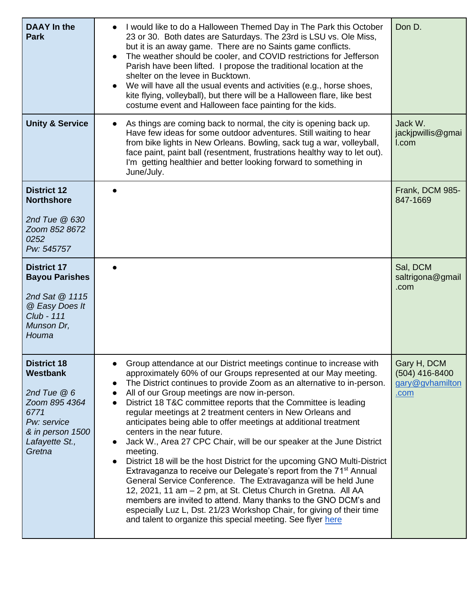| <b>DAAY</b> In the<br><b>Park</b>                                                                                                             | I would like to do a Halloween Themed Day in The Park this October<br>23 or 30. Both dates are Saturdays. The 23rd is LSU vs. Ole Miss,<br>but it is an away game. There are no Saints game conflicts.<br>The weather should be cooler, and COVID restrictions for Jefferson<br>$\bullet$<br>Parish have been lifted. I propose the traditional location at the<br>shelter on the levee in Bucktown.<br>We will have all the usual events and activities (e.g., horse shoes,<br>kite flying, volleyball), but there will be a Halloween flare, like best<br>costume event and Halloween face painting for the kids.                                                                                                                                                                                                                                                                                                                                                                                                                                                                                                                                                     | Don D.                                                   |
|-----------------------------------------------------------------------------------------------------------------------------------------------|-------------------------------------------------------------------------------------------------------------------------------------------------------------------------------------------------------------------------------------------------------------------------------------------------------------------------------------------------------------------------------------------------------------------------------------------------------------------------------------------------------------------------------------------------------------------------------------------------------------------------------------------------------------------------------------------------------------------------------------------------------------------------------------------------------------------------------------------------------------------------------------------------------------------------------------------------------------------------------------------------------------------------------------------------------------------------------------------------------------------------------------------------------------------------|----------------------------------------------------------|
| <b>Unity &amp; Service</b>                                                                                                                    | As things are coming back to normal, the city is opening back up.<br>Have few ideas for some outdoor adventures. Still waiting to hear<br>from bike lights in New Orleans. Bowling, sack tug a war, volleyball,<br>face paint, paint ball (resentment, frustrations healthy way to let out).<br>I'm getting healthier and better looking forward to something in<br>June/July.                                                                                                                                                                                                                                                                                                                                                                                                                                                                                                                                                                                                                                                                                                                                                                                          | Jack W.<br>jackjpwillis@gmai<br>I.com                    |
| <b>District 12</b><br><b>Northshore</b><br>2nd Tue @ 630<br>Zoom 852 8672<br>0252<br>Pw: 545757                                               |                                                                                                                                                                                                                                                                                                                                                                                                                                                                                                                                                                                                                                                                                                                                                                                                                                                                                                                                                                                                                                                                                                                                                                         | Frank, DCM 985-<br>847-1669                              |
| <b>District 17</b><br><b>Bayou Parishes</b><br>2nd Sat @ 1115<br>@ Easy Does It<br><b>Club - 111</b><br>Munson Dr,<br>Houma                   |                                                                                                                                                                                                                                                                                                                                                                                                                                                                                                                                                                                                                                                                                                                                                                                                                                                                                                                                                                                                                                                                                                                                                                         | Sal, DCM<br>saltrigona@gmail<br>.com                     |
| <b>District 18</b><br><b>Westbank</b><br>2nd Tue $@6$<br>Zoom 895 4364<br>6771<br>Pw: service<br>& in person 1500<br>Lafayette St.,<br>Gretna | Group attendance at our District meetings continue to increase with<br>approximately 60% of our Groups represented at our May meeting.<br>The District continues to provide Zoom as an alternative to in-person.<br>$\bullet$<br>All of our Group meetings are now in-person.<br>$\bullet$<br>District 18 T&C committee reports that the Committee is leading<br>$\bullet$<br>regular meetings at 2 treatment centers in New Orleans and<br>anticipates being able to offer meetings at additional treatment<br>centers in the near future.<br>Jack W., Area 27 CPC Chair, will be our speaker at the June District<br>$\bullet$<br>meeting.<br>District 18 will be the host District for the upcoming GNO Multi-District<br>$\bullet$<br>Extravaganza to receive our Delegate's report from the 71 <sup>st</sup> Annual<br>General Service Conference. The Extravaganza will be held June<br>12, 2021, 11 am - 2 pm, at St. Cletus Church in Gretna. All AA<br>members are invited to attend. Many thanks to the GNO DCM's and<br>especially Luz L, Dst. 21/23 Workshop Chair, for giving of their time<br>and talent to organize this special meeting. See flyer here | Gary H, DCM<br>(504) 416-8400<br>gary@gvhamilton<br>.com |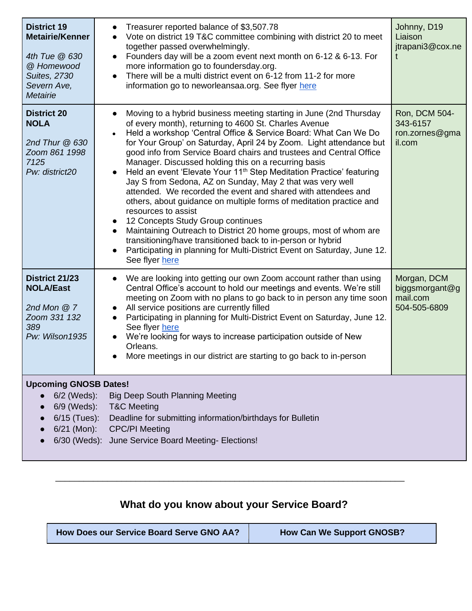| <b>District 19</b><br><b>Metairie/Kenner</b><br>4th Tue @ 630<br>@ Homewood<br><b>Suites, 2730</b><br>Severn Ave,<br>Metairie                                                                                                                                                                              | Treasurer reported balance of \$3,507.78<br>Vote on district 19 T&C committee combining with district 20 to meet<br>$\bullet$<br>together passed overwhelmingly.<br>Founders day will be a zoom event next month on 6-12 & 6-13. For<br>$\bullet$<br>more information go to foundersday.org.<br>There will be a multi district event on 6-12 from 11-2 for more<br>information go to neworleansaa.org. See flyer here                                                                                                                                                                                                                                                                                                                                                                                                                                                                                                                                                                                                                                        | Johnny, D19<br>Liaison<br>jtrapani3@cox.ne                |
|------------------------------------------------------------------------------------------------------------------------------------------------------------------------------------------------------------------------------------------------------------------------------------------------------------|--------------------------------------------------------------------------------------------------------------------------------------------------------------------------------------------------------------------------------------------------------------------------------------------------------------------------------------------------------------------------------------------------------------------------------------------------------------------------------------------------------------------------------------------------------------------------------------------------------------------------------------------------------------------------------------------------------------------------------------------------------------------------------------------------------------------------------------------------------------------------------------------------------------------------------------------------------------------------------------------------------------------------------------------------------------|-----------------------------------------------------------|
| <b>District 20</b><br><b>NOLA</b><br>2nd Thur $@630$<br>Zoom 861 1998<br>7125<br>Pw: district20                                                                                                                                                                                                            | Moving to a hybrid business meeting starting in June (2nd Thursday<br>$\bullet$<br>of every month), returning to 4600 St. Charles Avenue<br>Held a workshop 'Central Office & Service Board: What Can We Do<br>for Your Group' on Saturday, April 24 by Zoom. Light attendance but<br>good info from Service Board chairs and trustees and Central Office<br>Manager. Discussed holding this on a recurring basis<br>Held an event 'Elevate Your 11 <sup>th</sup> Step Meditation Practice' featuring<br>$\bullet$<br>Jay S from Sedona, AZ on Sunday, May 2 that was very well<br>attended. We recorded the event and shared with attendees and<br>others, about guidance on multiple forms of meditation practice and<br>resources to assist<br>12 Concepts Study Group continues<br>$\bullet$<br>Maintaining Outreach to District 20 home groups, most of whom are<br>$\bullet$<br>transitioning/have transitioned back to in-person or hybrid<br>Participating in planning for Multi-District Event on Saturday, June 12.<br>$\bullet$<br>See flyer here | Ron, DCM 504-<br>343-6157<br>ron.zornes@gma<br>il.com     |
| District 21/23<br><b>NOLA/East</b><br>2nd Mon $@7$<br>Zoom 331 132<br>389<br>Pw: Wilson1935                                                                                                                                                                                                                | We are looking into getting our own Zoom account rather than using<br>$\bullet$<br>Central Office's account to hold our meetings and events. We're still<br>meeting on Zoom with no plans to go back to in person any time soon<br>All service positions are currently filled<br>$\bullet$<br>Participating in planning for Multi-District Event on Saturday, June 12.<br>See flyer here<br>We're looking for ways to increase participation outside of New<br>$\bullet$<br>Orleans.<br>More meetings in our district are starting to go back to in-person                                                                                                                                                                                                                                                                                                                                                                                                                                                                                                   | Morgan, DCM<br>biggsmorgant@g<br>mail.com<br>504-505-6809 |
| <b>Upcoming GNOSB Dates!</b><br>6/2 (Weds):<br><b>Big Deep South Planning Meeting</b><br>6/9 (Weds):<br><b>T&amp;C Meeting</b><br>6/15 (Tues): Deadline for submitting information/birthdays for Bulletin<br>$6/21$ (Mon):<br><b>CPC/PI Meeting</b><br>6/30 (Weds): June Service Board Meeting- Elections! |                                                                                                                                                                                                                                                                                                                                                                                                                                                                                                                                                                                                                                                                                                                                                                                                                                                                                                                                                                                                                                                              |                                                           |

## **What do you know about your Service Board?**

\_\_\_\_\_\_\_\_\_\_\_\_\_\_\_\_\_\_\_\_\_\_\_\_\_\_\_\_\_\_\_\_\_\_\_\_\_\_\_\_\_\_\_\_\_\_\_\_\_\_\_\_\_\_\_\_\_\_\_\_\_\_\_\_\_\_\_\_\_\_\_\_\_\_

| How Does our Service Board Serve GNO AA? | <b>How Can We Support GNOSB?</b> |
|------------------------------------------|----------------------------------|
|------------------------------------------|----------------------------------|